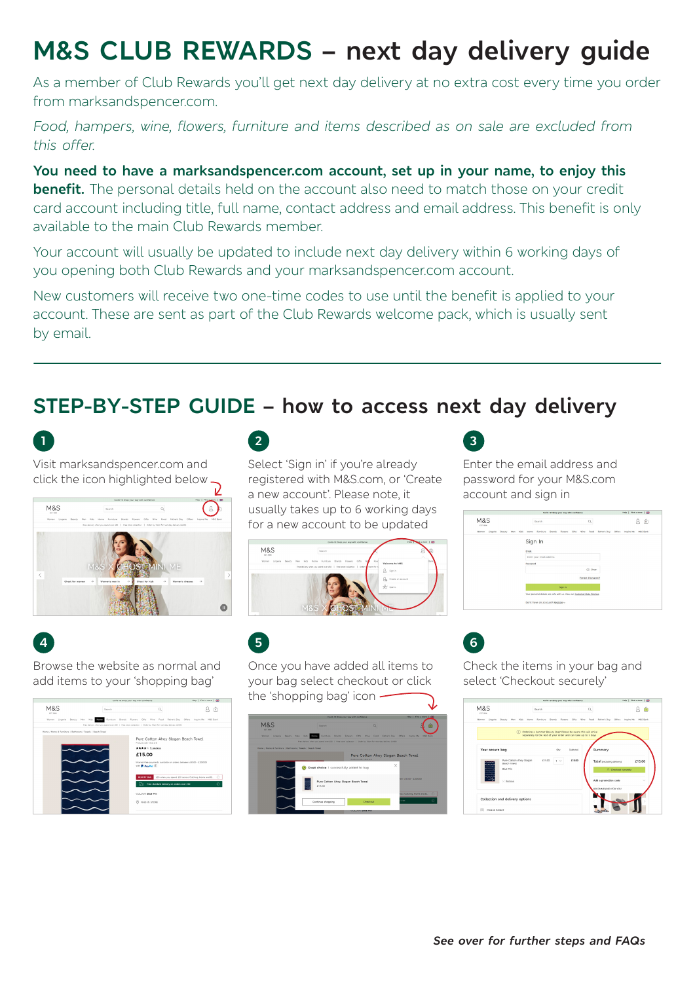# **M&S CLUB REWARDS – next day delivery guide**

As a member of Club Rewards you'll get next day delivery at no extra cost every time you order from marksandspencer.com.

*Food, hampers, wine, flowers, furniture and items described as on sale are excluded from this offer.*

**You need to have a marksandspencer.com account, set up in your name, to enjoy this benefit.** The personal details held on the account also need to match those on your credit card account including title, full name, contact address and email address. This benefit is only available to the main Club Rewards member.

Your account will usually be updated to include next day delivery within 6 working days of you opening both Club Rewards and your marksandspencer.com account.

New customers will receive two one-time codes to use until the benefit is applied to your account. These are sent as part of the Club Rewards welcome pack, which is usually sent by email.

# **STEP-BY-STEP GUIDE – how to access next day delivery**



**4**

**M&S** 

Visit marksandspencer.com and click the icon highlighted below  $\bigcap$ 



Browse the website as normal and add items to your 'shopping bag'

> £15.00 Interest-free payers<br>Tel: B. Buschel

> > .<br>UR Blue Mi

# **2**

Select 'Sign in' if you're already registered with M&S.com, or 'Create a new account'. Please note, it usually takes up to 6 working days for a new account to be updated





 $A<sup>6</sup>$ 

Once you have added all items to your bag select checkout or click the 'shopping bag' icon -



Enter the email address and password for your M&S.com account and sign in

**3**

**6**

| M&S<br>Search<br>a<br>617, 1664<br>Home Furniture Brands Flowers Gifts Wine Food Father's-Day Offers Inspire-Me M&S-Bank<br>Women Lingerie Beauty Men Kids<br>Sign In<br><b>Firstall</b><br>Enter your email address<br>Password<br>(D) Show<br>Forgot Password?<br>Sign In<br>Your personal details are safe with us. View our Customer Data Promise | Covid-19: Shop your way with confidence | Help   Find a store   65 |
|-------------------------------------------------------------------------------------------------------------------------------------------------------------------------------------------------------------------------------------------------------------------------------------------------------------------------------------------------------|-----------------------------------------|--------------------------|
|                                                                                                                                                                                                                                                                                                                                                       |                                         | ô                        |
|                                                                                                                                                                                                                                                                                                                                                       |                                         |                          |
|                                                                                                                                                                                                                                                                                                                                                       |                                         |                          |
|                                                                                                                                                                                                                                                                                                                                                       |                                         |                          |
|                                                                                                                                                                                                                                                                                                                                                       |                                         |                          |
|                                                                                                                                                                                                                                                                                                                                                       |                                         |                          |
|                                                                                                                                                                                                                                                                                                                                                       |                                         |                          |
|                                                                                                                                                                                                                                                                                                                                                       |                                         |                          |
|                                                                                                                                                                                                                                                                                                                                                       |                                         |                          |
|                                                                                                                                                                                                                                                                                                                                                       |                                         |                          |
|                                                                                                                                                                                                                                                                                                                                                       |                                         |                          |
|                                                                                                                                                                                                                                                                                                                                                       | Don't have an account? Register-        |                          |

Check the items in your bag and select 'Checkout securely'

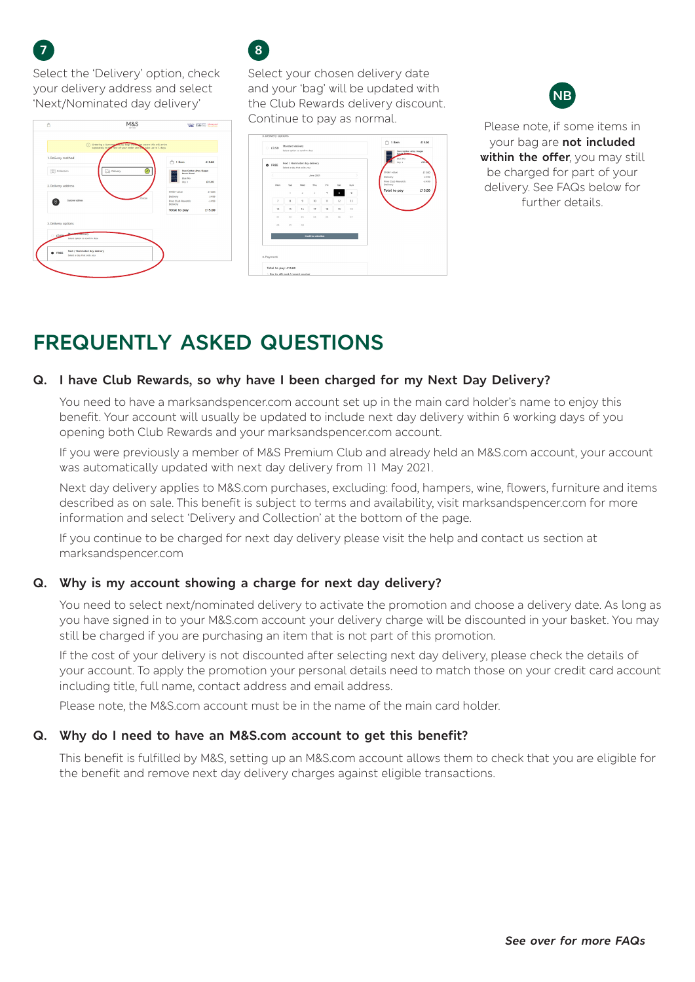Select the 'Delivery' option, check your delivery address and select 'Next/Nominated day delivery'

| ⋒                             | Ordering a Summer wouty Bag! Plaza be aware this will arrive<br>separately to the rest of your order and car take up to 5 days |                                                                         |          |
|-------------------------------|--------------------------------------------------------------------------------------------------------------------------------|-------------------------------------------------------------------------|----------|
| 1. Delivery method            |                                                                                                                                | $\bigcap$ 1 item                                                        | £15.00   |
| <b>TTT</b> collection         | Delivery<br>☞                                                                                                                  | <b>Pure Cetten Ahey Slegan</b><br><b>Beach Towel</b><br><b>Blue Mix</b> |          |
| 2. Delivery address           |                                                                                                                                | Otic 1                                                                  | £15.00   |
|                               |                                                                                                                                | Order value                                                             | 615.00   |
| Customer address              |                                                                                                                                | Delivery                                                                | 64.99    |
|                               |                                                                                                                                | Free Club Rewards<br>Delivery                                           | $-0.499$ |
|                               |                                                                                                                                | Total to pay                                                            | £15.00   |
|                               |                                                                                                                                |                                                                         |          |
| 3. Delivery options           |                                                                                                                                |                                                                         |          |
| <b>CONTRACTOR</b><br>63.50    |                                                                                                                                |                                                                         |          |
| Select cotion to confirm date |                                                                                                                                |                                                                         |          |
|                               |                                                                                                                                |                                                                         |          |
| Next / Nominated day delivery |                                                                                                                                |                                                                         |          |



Select your chosen delivery date and your 'bag' will be updated with the Club Rewards delivery discount. Continue to pay as normal. Please note, if some items in





your bag are **not included within the offer**, you may still be charged for part of your delivery. See FAQs below for further details.

# **FREQUENTLY ASKED QUESTIONS**

## **Q. I have Club Rewards, so why have I been charged for my Next Day Delivery?**

You need to have a marksandspencer.com account set up in the main card holder's name to enjoy this benefit. Your account will usually be updated to include next day delivery within 6 working days of you opening both Club Rewards and your marksandspencer.com account.

If you were previously a member of M&S Premium Club and already held an M&S.com account, your account was automatically updated with next day delivery from 11 May 2021.

Next day delivery applies to M&S.com purchases, excluding: food, hampers, wine, flowers, furniture and items described as on sale. This benefit is subject to terms and availability, visit marksandspencer.com for more information and select 'Delivery and Collection' at the bottom of the page.

If you continue to be charged for next day delivery please visit the help and contact us section at marksandspencer.com

# **Q. Why is my account showing a charge for next day delivery?**

You need to select next/nominated delivery to activate the promotion and choose a delivery date. As long as you have signed in to your M&S.com account your delivery charge will be discounted in your basket. You may still be charged if you are purchasing an item that is not part of this promotion.

If the cost of your delivery is not discounted after selecting next day delivery, please check the details of your account. To apply the promotion your personal details need to match those on your credit card account including title, full name, contact address and email address.

Please note, the M&S.com account must be in the name of the main card holder.

### **Q. Why do I need to have an M&S.com account to get this benefit?**

This benefit is fulfilled by M&S, setting up an M&S.com account allows them to check that you are eligible for the benefit and remove next day delivery charges against eligible transactions.